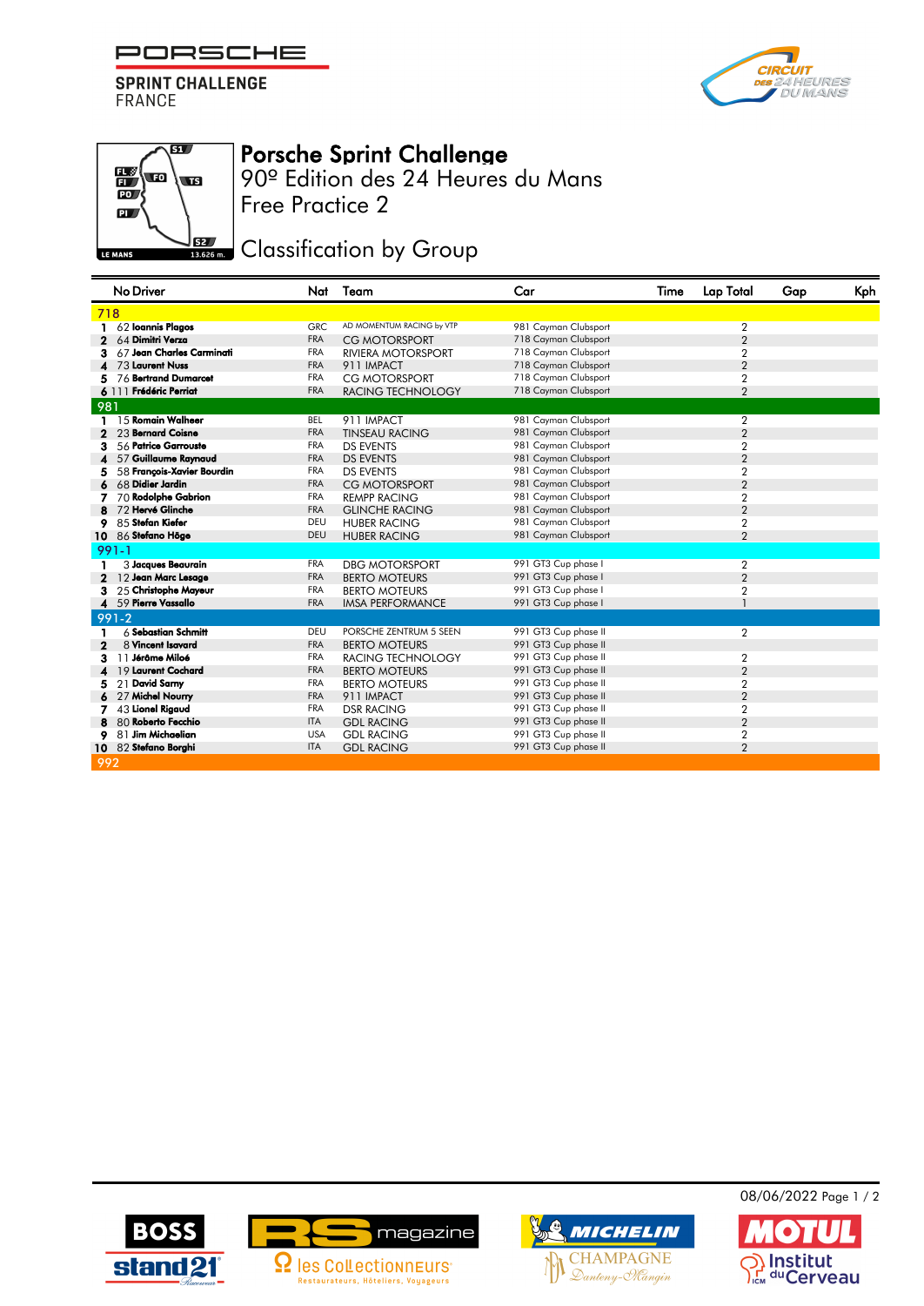PORSCHE

**SPRINT CHALLENGE FRANCE** 





## Porsche Sprint Challenge

Free Practice 2 90º Edition des 24 Heures du Mans

Classification by Group

|              | No Driver                  | Nat        | Team                      | Car                  | Time | Lap Total        | Gap | Kph |
|--------------|----------------------------|------------|---------------------------|----------------------|------|------------------|-----|-----|
| 718          |                            |            |                           |                      |      |                  |     |     |
|              | 62 Ioannis Plagos          | <b>GRC</b> | AD MOMENTUM RACING by VTP | 981 Cayman Clubsport |      | $\overline{2}$   |     |     |
|              | 64 Dimitri Verza           | <b>FRA</b> | <b>CG MOTORSPORT</b>      | 718 Cayman Clubsport |      | $\overline{2}$   |     |     |
|              | 67 Jean Charles Carminati  | <b>FRA</b> | <b>RIVIERA MOTORSPORT</b> | 718 Cayman Clubsport |      | $\overline{2}$   |     |     |
|              | 73 Laurent Nuss            | <b>FRA</b> | 911 IMPACT                | 718 Cayman Clubsport |      | $\overline{2}$   |     |     |
|              | 76 Bertrand Dumarcet       | FRA        | <b>CG MOTORSPORT</b>      | 718 Cayman Clubsport |      | 2                |     |     |
|              | 6 111 Frédéric Perriat     | <b>FRA</b> | <b>RACING TECHNOLOGY</b>  | 718 Cayman Clubsport |      | $\overline{2}$   |     |     |
| 981          |                            |            |                           |                      |      |                  |     |     |
| $\mathbf{1}$ | 15 Romain Walheer          | <b>BEL</b> | 911 IMPACT                | 981 Cayman Clubsport |      | $\overline{2}$   |     |     |
|              | 23 Bernard Coisne          | <b>FRA</b> | <b>TINSEAU RACING</b>     | 981 Cayman Clubsport |      | $\overline{2}$   |     |     |
| з            | 56 Patrice Garrouste       | <b>FRA</b> | <b>DS EVENTS</b>          | 981 Cayman Clubsport |      | 2                |     |     |
|              | 57 Guillaume Raynaud       | <b>FRA</b> | <b>DS EVENTS</b>          | 981 Cayman Clubsport |      | $\overline{2}$   |     |     |
|              | 58 François-Xavier Bourdin | <b>FRA</b> | <b>DS EVENTS</b>          | 981 Cayman Clubsport |      | 2                |     |     |
|              | 68 Didier Jardin           | <b>FRA</b> | <b>CG MOTORSPORT</b>      | 981 Cayman Clubsport |      | $\overline{2}$   |     |     |
|              | 70 Rodolphe Gabrion        | <b>FRA</b> | <b>REMPP RACING</b>       | 981 Cayman Clubsport |      | $\overline{2}$   |     |     |
|              | 72 Hervé Glinche           | <b>FRA</b> | <b>GLINCHE RACING</b>     | 981 Cayman Clubsport |      | $\overline{2}$   |     |     |
|              | 85 Stefan Kiefer           | DEU        | <b>HUBER RACING</b>       | 981 Cayman Clubsport |      | 2                |     |     |
| 10           | 86 Stefano Höge            | DEU        | <b>HUBER RACING</b>       | 981 Cayman Clubsport |      | $\overline{2}$   |     |     |
|              | $991 - 1$                  |            |                           |                      |      |                  |     |     |
|              | 3 Jacques Beaurain         | <b>FRA</b> | <b>DBG MOTORSPORT</b>     | 991 GT3 Cup phase I  |      | $\overline{2}$   |     |     |
| $\mathbf 2$  | 12 Jean Marc Lesage        | <b>FRA</b> | <b>BERTO MOTEURS</b>      | 991 GT3 Cup phase I  |      | $\overline{2}$   |     |     |
| з            | 25 Christophe Mayeur       | <b>FRA</b> | <b>BERTO MOTEURS</b>      | 991 GT3 Cup phase I  |      | 2                |     |     |
|              | 59 Pierre Vassallo         | <b>FRA</b> | <b>IMSA PERFORMANCE</b>   | 991 GT3 Cup phase I  |      |                  |     |     |
|              | $991 - 2$                  |            |                           |                      |      |                  |     |     |
|              | $6$ Sebastian Schmitt      | DEU        | PORSCHE ZENTRUM 5 SEEN    | 991 GT3 Cup phase II |      | $\overline{2}$   |     |     |
| 2            | 8 Vincent Isavard          | <b>FRA</b> | <b>BERTO MOTEURS</b>      | 991 GT3 Cup phase II |      |                  |     |     |
| з            | 11 Jérôme Miloé            | <b>FRA</b> | <b>RACING TECHNOLOGY</b>  | 991 GT3 Cup phase II |      | $\overline{2}$   |     |     |
|              | 19 Laurent Cochard         | <b>FRA</b> | <b>BERTO MOTEURS</b>      | 991 GT3 Cup phase II |      | $\overline{2}$   |     |     |
| 5            | 21 David Samy              | <b>FRA</b> | <b>BERTO MOTEURS</b>      | 991 GT3 Cup phase II |      | 2                |     |     |
|              | 27 Michel Nourry           | <b>FRA</b> | 911 IMPACT                | 991 GT3 Cup phase II |      | $\overline{2}$   |     |     |
|              | 43 Lionel Rigaud           | <b>FRA</b> | <b>DSR RACING</b>         | 991 GT3 Cup phase II |      | 2                |     |     |
|              | 80 Roberto Fecchio         | <b>ITA</b> | <b>GDL RACING</b>         | 991 GT3 Cup phase II |      | $\overline{2}$   |     |     |
| 9            | 81 Jim Michaelian          | <b>USA</b> | <b>GDL RACING</b>         | 991 GT3 Cup phase II |      | $\boldsymbol{2}$ |     |     |
|              | 10 82 Stefano Borghi       | <b>ITA</b> | <b>GDL RACING</b>         | 991 GT3 Cup phase II |      | $\overline{2}$   |     |     |
| 992          |                            |            |                           |                      |      |                  |     |     |